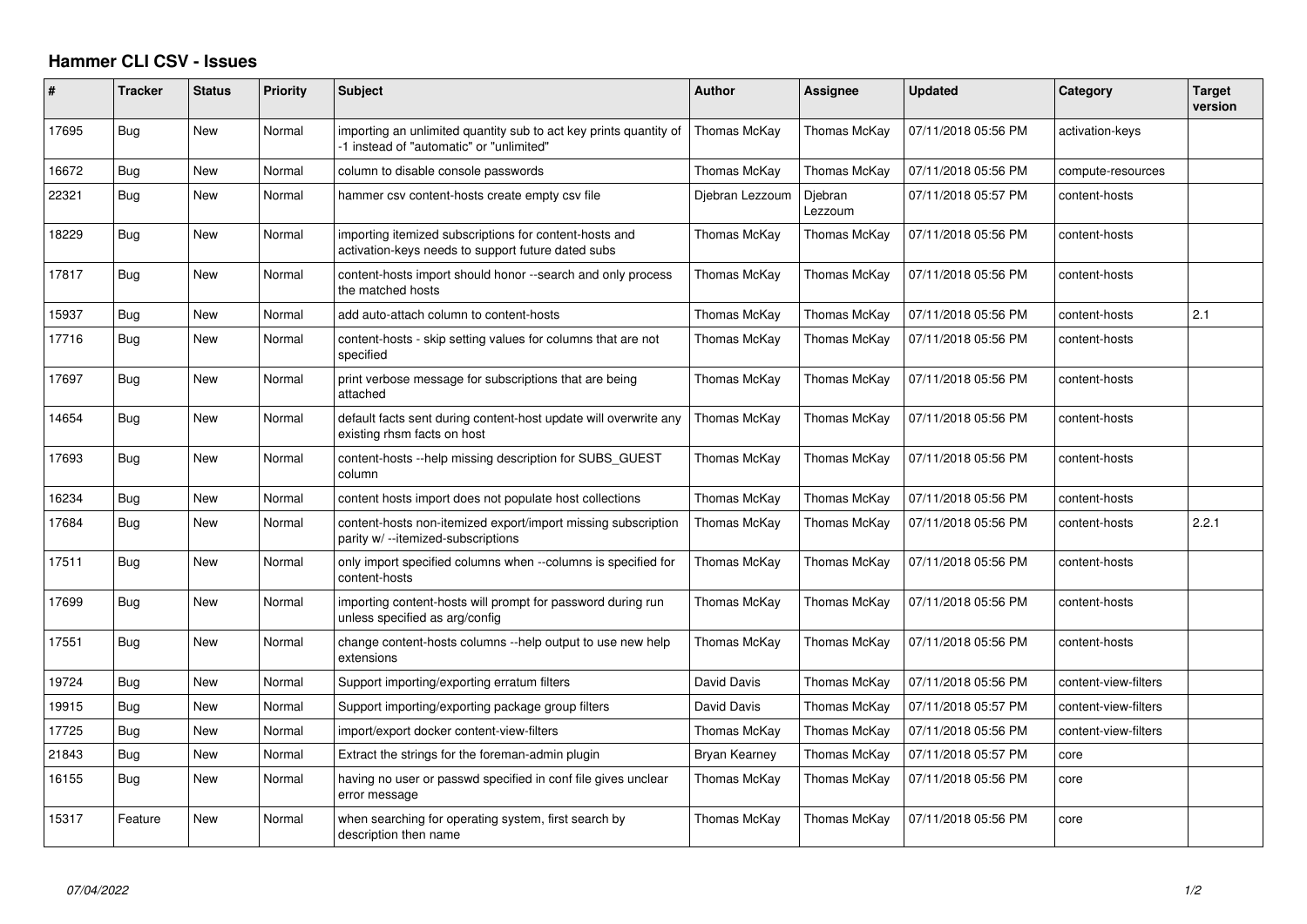## **Hammer CLI CSV - Issues**

| #     | <b>Tracker</b> | <b>Status</b> | Priority | <b>Subject</b>                                                                                                | <b>Author</b>   | Assignee           | <b>Updated</b>      | Category             | Target<br>version |
|-------|----------------|---------------|----------|---------------------------------------------------------------------------------------------------------------|-----------------|--------------------|---------------------|----------------------|-------------------|
| 17695 | Bug            | New           | Normal   | importing an unlimited quantity sub to act key prints quantity of<br>-1 instead of "automatic" or "unlimited" | Thomas McKay    | Thomas McKay       | 07/11/2018 05:56 PM | activation-keys      |                   |
| 16672 | Bug            | New           | Normal   | column to disable console passwords                                                                           | Thomas McKay    | Thomas McKay       | 07/11/2018 05:56 PM | compute-resources    |                   |
| 22321 | Bug            | New           | Normal   | hammer csv content-hosts create empty csv file                                                                | Djebran Lezzoum | Djebran<br>Lezzoum | 07/11/2018 05:57 PM | content-hosts        |                   |
| 18229 | Bug            | New           | Normal   | importing itemized subscriptions for content-hosts and<br>activation-keys needs to support future dated subs  | Thomas McKay    | Thomas McKay       | 07/11/2018 05:56 PM | content-hosts        |                   |
| 17817 | Bug            | New           | Normal   | content-hosts import should honor --search and only process<br>the matched hosts                              | Thomas McKay    | Thomas McKay       | 07/11/2018 05:56 PM | content-hosts        |                   |
| 15937 | Bug            | New           | Normal   | add auto-attach column to content-hosts                                                                       | Thomas McKay    | Thomas McKay       | 07/11/2018 05:56 PM | content-hosts        | 2.1               |
| 17716 | Bug            | New           | Normal   | content-hosts - skip setting values for columns that are not<br>specified                                     | Thomas McKay    | Thomas McKay       | 07/11/2018 05:56 PM | content-hosts        |                   |
| 17697 | Bug            | New           | Normal   | print verbose message for subscriptions that are being<br>attached                                            | Thomas McKay    | Thomas McKay       | 07/11/2018 05:56 PM | content-hosts        |                   |
| 14654 | Bug            | New           | Normal   | default facts sent during content-host update will overwrite any<br>existing rhsm facts on host               | Thomas McKay    | Thomas McKay       | 07/11/2018 05:56 PM | content-hosts        |                   |
| 17693 | Bug            | New           | Normal   | content-hosts --help missing description for SUBS GUEST<br>column                                             | Thomas McKay    | Thomas McKay       | 07/11/2018 05:56 PM | content-hosts        |                   |
| 16234 | Bug            | New           | Normal   | content hosts import does not populate host collections                                                       | Thomas McKay    | Thomas McKay       | 07/11/2018 05:56 PM | content-hosts        |                   |
| 17684 | Bug            | New           | Normal   | content-hosts non-itemized export/import missing subscription<br>parity w/ --itemized-subscriptions           | Thomas McKay    | Thomas McKay       | 07/11/2018 05:56 PM | content-hosts        | 2.2.1             |
| 17511 | Bug            | New           | Normal   | only import specified columns when --columns is specified for<br>content-hosts                                | Thomas McKay    | Thomas McKay       | 07/11/2018 05:56 PM | content-hosts        |                   |
| 17699 | Bug            | <b>New</b>    | Normal   | importing content-hosts will prompt for password during run<br>unless specified as arg/config                 | Thomas McKay    | Thomas McKay       | 07/11/2018 05:56 PM | content-hosts        |                   |
| 17551 | <b>Bug</b>     | New           | Normal   | change content-hosts columns --help output to use new help<br>extensions                                      | Thomas McKay    | Thomas McKay       | 07/11/2018 05:56 PM | content-hosts        |                   |
| 19724 | Bug            | New           | Normal   | Support importing/exporting erratum filters                                                                   | David Davis     | Thomas McKay       | 07/11/2018 05:56 PM | content-view-filters |                   |
| 19915 | Bug            | New           | Normal   | Support importing/exporting package group filters                                                             | David Davis     | Thomas McKay       | 07/11/2018 05:57 PM | content-view-filters |                   |
| 17725 | Bug            | New           | Normal   | import/export docker content-view-filters                                                                     | Thomas McKay    | Thomas McKay       | 07/11/2018 05:56 PM | content-view-filters |                   |
| 21843 | Bug            | New           | Normal   | Extract the strings for the foreman-admin plugin                                                              | Bryan Kearney   | Thomas McKay       | 07/11/2018 05:57 PM | core                 |                   |
| 16155 | Bug            | New           | Normal   | having no user or passwd specified in conf file gives unclear<br>error message                                | Thomas McKay    | Thomas McKay       | 07/11/2018 05:56 PM | core                 |                   |
| 15317 | Feature        | New           | Normal   | when searching for operating system, first search by<br>description then name                                 | Thomas McKay    | Thomas McKay       | 07/11/2018 05:56 PM | core                 |                   |